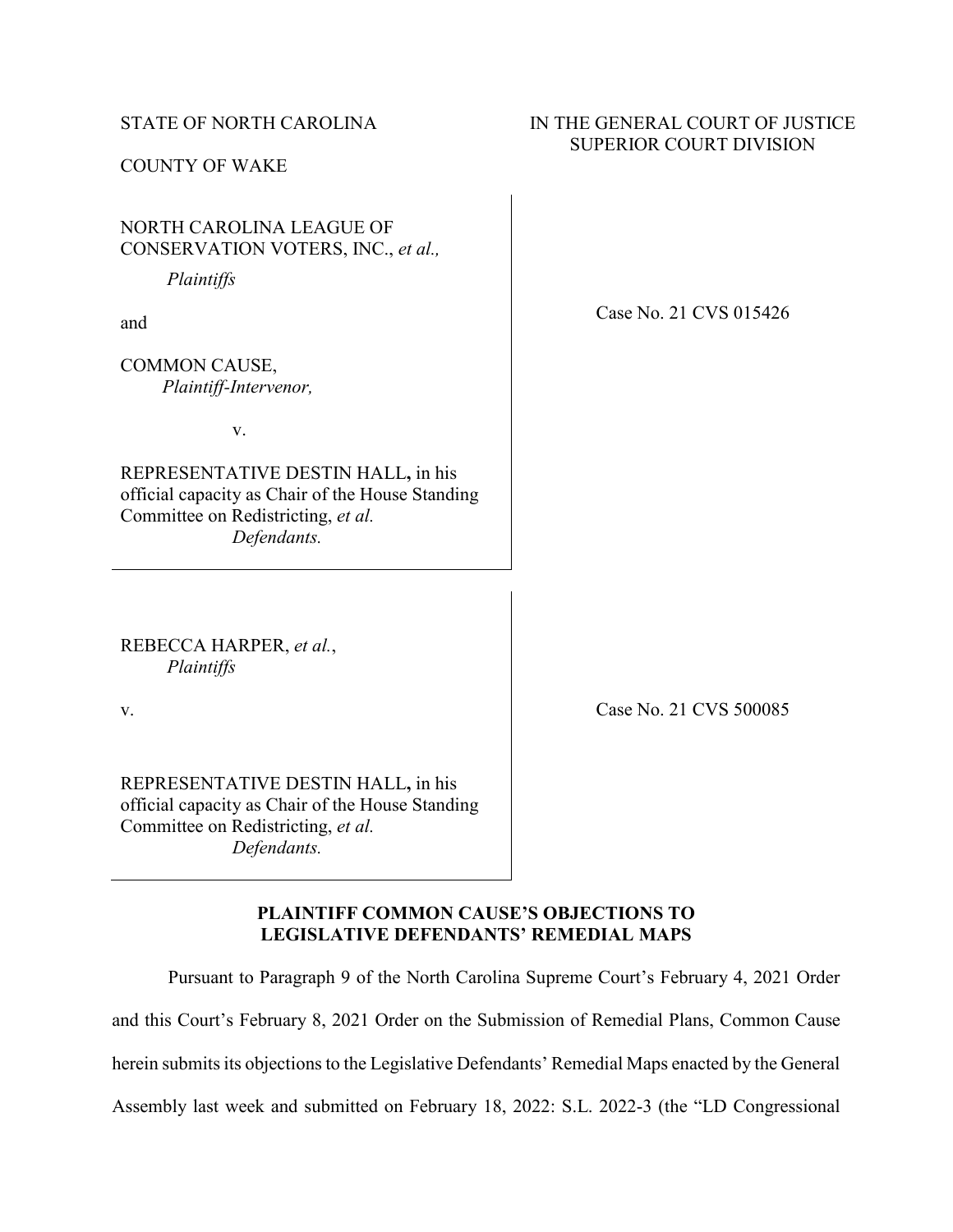### STATE OF NORTH CAROLINA

COUNTY OF WAKE

# NORTH CAROLINA LEAGUE OF CONSERVATION VOTERS, INC., *et al.,*

*Plaintiffs*

and

COMMON CAUSE,  *Plaintiff-Intervenor,*

v.

REPRESENTATIVE DESTIN HALL**,** in his official capacity as Chair of the House Standing Committee on Redistricting, *et al. Defendants.*

Case No. 21 CVS 015426

IN THE GENERAL COURT OF JUSTICE SUPERIOR COURT DIVISION

REBECCA HARPER, *et al.*, *Plaintiffs*

v.

Case No. 21 CVS 500085

REPRESENTATIVE DESTIN HALL**,** in his official capacity as Chair of the House Standing Committee on Redistricting, *et al. Defendants.*

# **PLAINTIFF COMMON CAUSE'S OBJECTIONS TO LEGISLATIVE DEFENDANTS' REMEDIAL MAPS**

Pursuant to Paragraph 9 of the North Carolina Supreme Court's February 4, 2021 Order

and this Court's February 8, 2021 Order on the Submission of Remedial Plans, Common Cause

herein submits its objections to the Legislative Defendants' Remedial Maps enacted by the General

Assembly last week and submitted on February 18, 2022: S.L. 2022-3 (the "LD Congressional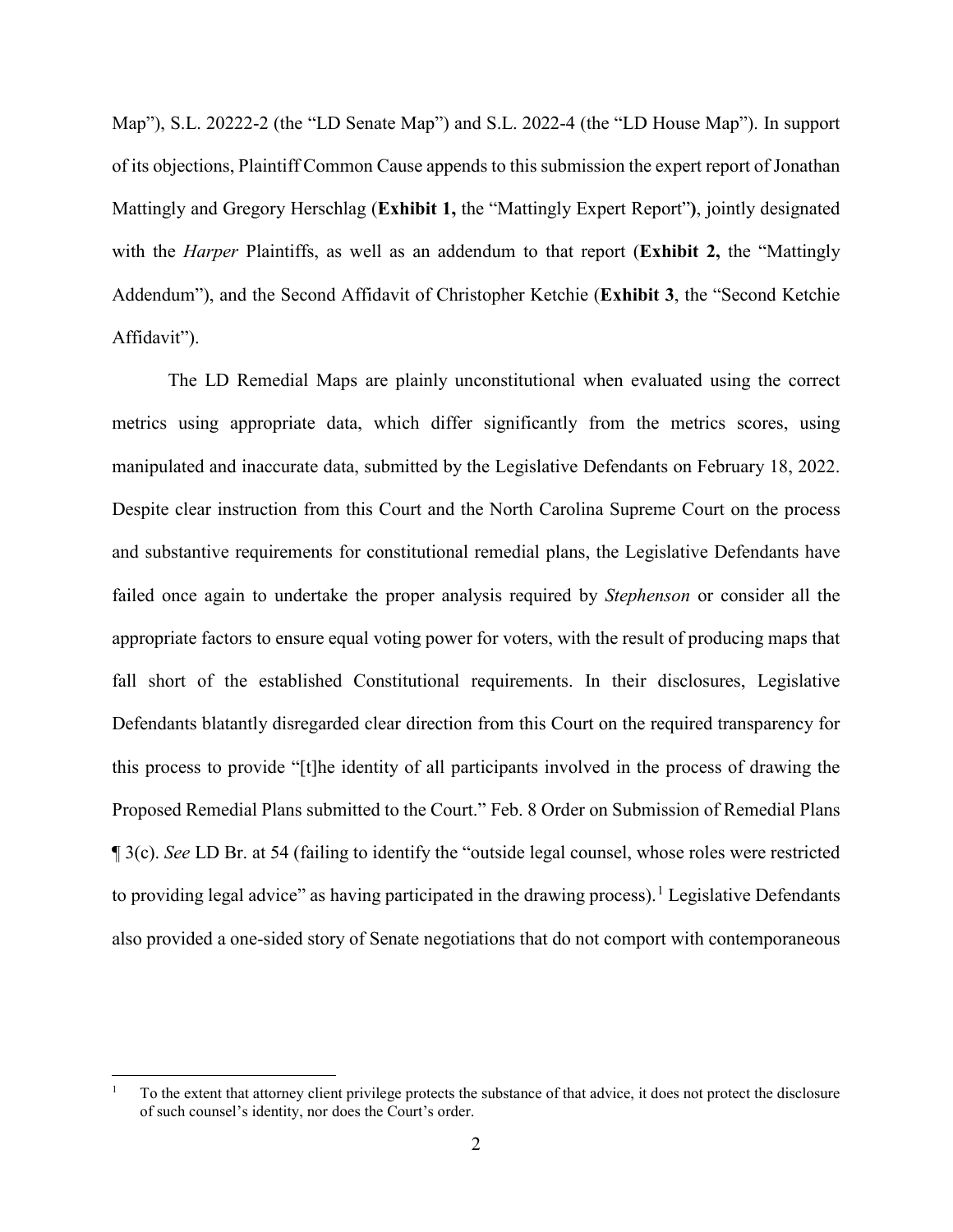Map"), S.L. 20222-2 (the "LD Senate Map") and S.L. 2022-4 (the "LD House Map"). In support of its objections, Plaintiff Common Cause appends to this submission the expert report of Jonathan Mattingly and Gregory Herschlag (**Exhibit 1,** the "Mattingly Expert Report"**)**, jointly designated with the *Harper* Plaintiffs, as well as an addendum to that report (**Exhibit 2,** the "Mattingly Addendum"), and the Second Affidavit of Christopher Ketchie (**Exhibit 3**, the "Second Ketchie Affidavit").

The LD Remedial Maps are plainly unconstitutional when evaluated using the correct metrics using appropriate data, which differ significantly from the metrics scores, using manipulated and inaccurate data, submitted by the Legislative Defendants on February 18, 2022. Despite clear instruction from this Court and the North Carolina Supreme Court on the process and substantive requirements for constitutional remedial plans, the Legislative Defendants have failed once again to undertake the proper analysis required by *Stephenson* or consider all the appropriate factors to ensure equal voting power for voters, with the result of producing maps that fall short of the established Constitutional requirements. In their disclosures, Legislative Defendants blatantly disregarded clear direction from this Court on the required transparency for this process to provide "[t]he identity of all participants involved in the process of drawing the Proposed Remedial Plans submitted to the Court." Feb. 8 Order on Submission of Remedial Plans ¶ 3(c). *See* LD Br. at 54 (failing to identify the "outside legal counsel, whose roles were restricted to providing legal advice" as having participated in the drawing process).<sup>[1](#page-1-0)</sup> Legislative Defendants also provided a one-sided story of Senate negotiations that do not comport with contemporaneous

<span id="page-1-0"></span> <sup>1</sup> To the extent that attorney client privilege protects the substance of that advice, it does not protect the disclosure of such counsel's identity, nor does the Court's order.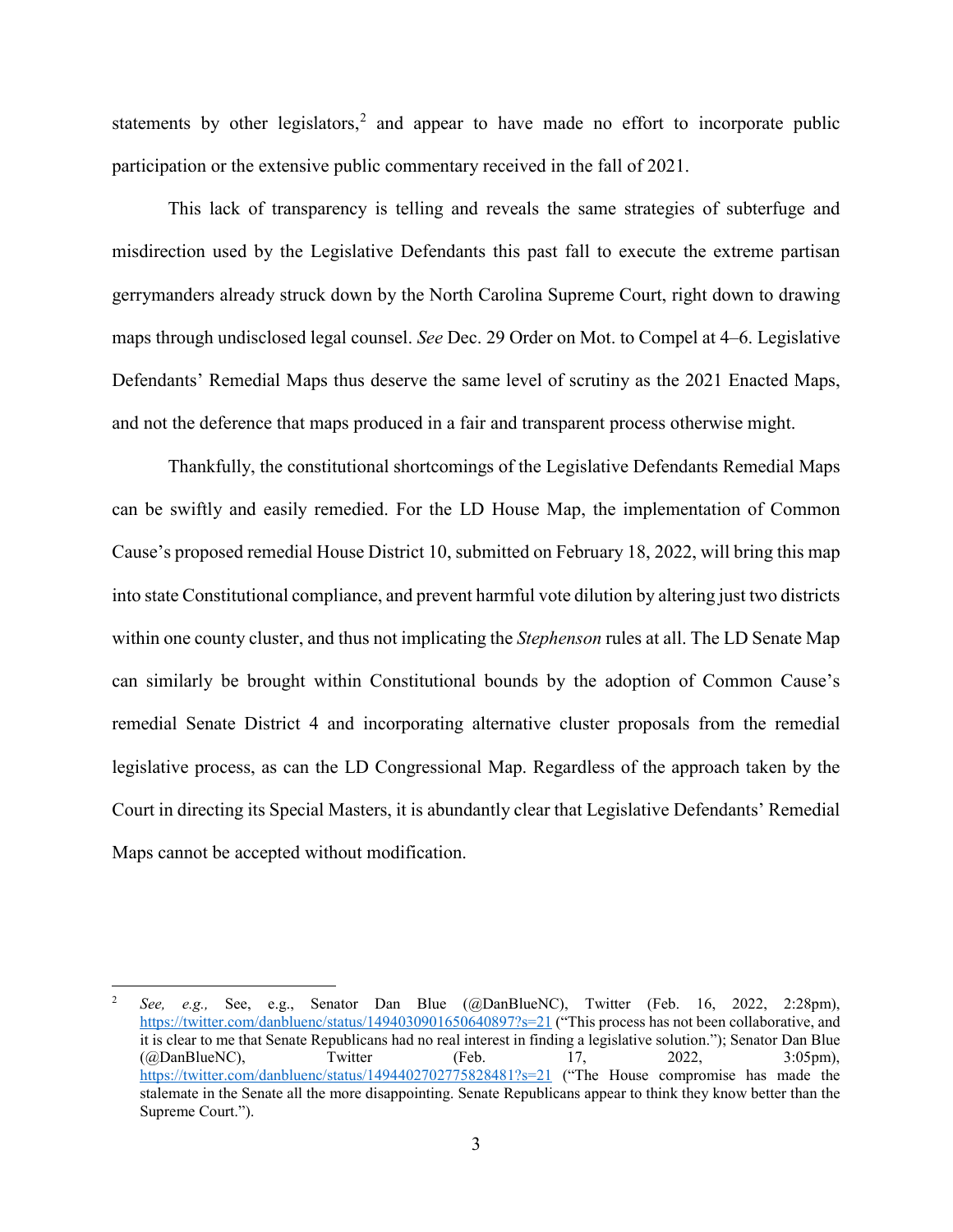statements by other legislators,<sup>[2](#page-2-0)</sup> and appear to have made no effort to incorporate public participation or the extensive public commentary received in the fall of 2021.

This lack of transparency is telling and reveals the same strategies of subterfuge and misdirection used by the Legislative Defendants this past fall to execute the extreme partisan gerrymanders already struck down by the North Carolina Supreme Court, right down to drawing maps through undisclosed legal counsel. *See* Dec. 29 Order on Mot. to Compel at 4–6. Legislative Defendants' Remedial Maps thus deserve the same level of scrutiny as the 2021 Enacted Maps, and not the deference that maps produced in a fair and transparent process otherwise might.

Thankfully, the constitutional shortcomings of the Legislative Defendants Remedial Maps can be swiftly and easily remedied. For the LD House Map, the implementation of Common Cause's proposed remedial House District 10, submitted on February 18, 2022, will bring this map into state Constitutional compliance, and prevent harmful vote dilution by altering just two districts within one county cluster, and thus not implicating the *Stephenson* rules at all. The LD Senate Map can similarly be brought within Constitutional bounds by the adoption of Common Cause's remedial Senate District 4 and incorporating alternative cluster proposals from the remedial legislative process, as can the LD Congressional Map. Regardless of the approach taken by the Court in directing its Special Masters, it is abundantly clear that Legislative Defendants' Remedial Maps cannot be accepted without modification.

<span id="page-2-0"></span> <sup>2</sup> *See, e.g.,* See, e.g., Senator Dan Blue (@DanBlueNC), Twitter (Feb. 16, 2022, 2:28pm), <https://twitter.com/danbluenc/status/1494030901650640897?s=21> ("This process has not been collaborative, and it is clear to me that Senate Republicans had no real interest in finding a legislative solution."); Senator Dan Blue  $(QDanBlueNC)$ , Twitter (Feb. 17, 2022, 3:05pm), <https://twitter.com/danbluenc/status/1494402702775828481?s=21> ("The House compromise has made the stalemate in the Senate all the more disappointing. Senate Republicans appear to think they know better than the Supreme Court.").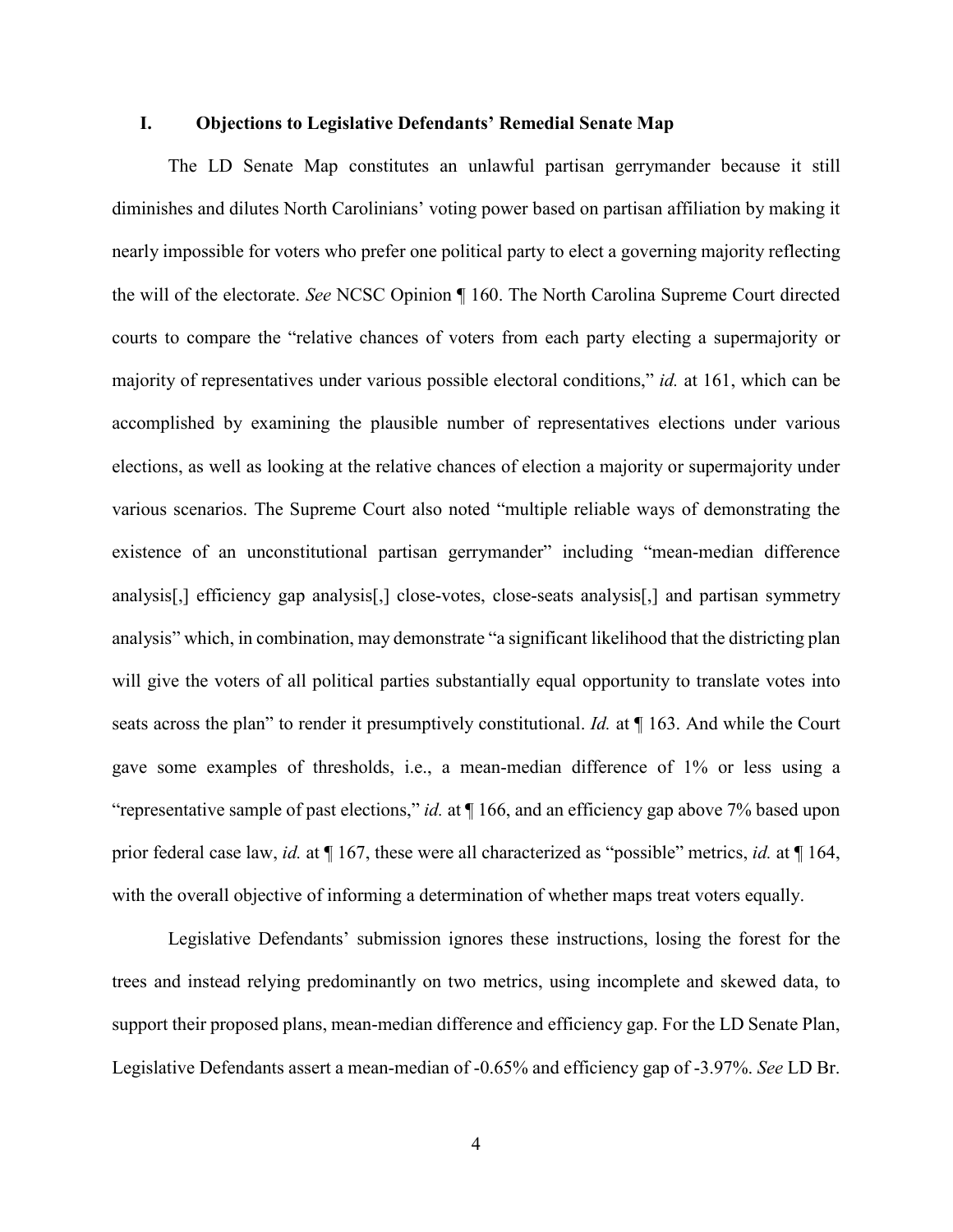#### **I. Objections to Legislative Defendants' Remedial Senate Map**

The LD Senate Map constitutes an unlawful partisan gerrymander because it still diminishes and dilutes North Carolinians' voting power based on partisan affiliation by making it nearly impossible for voters who prefer one political party to elect a governing majority reflecting the will of the electorate. *See* NCSC Opinion ¶ 160. The North Carolina Supreme Court directed courts to compare the "relative chances of voters from each party electing a supermajority or majority of representatives under various possible electoral conditions," *id.* at 161, which can be accomplished by examining the plausible number of representatives elections under various elections, as well as looking at the relative chances of election a majority or supermajority under various scenarios. The Supreme Court also noted "multiple reliable ways of demonstrating the existence of an unconstitutional partisan gerrymander" including "mean-median difference analysis[,] efficiency gap analysis[,] close-votes, close-seats analysis[,] and partisan symmetry analysis" which, in combination, may demonstrate "a significant likelihood that the districting plan will give the voters of all political parties substantially equal opportunity to translate votes into seats across the plan" to render it presumptively constitutional. *Id.* at ¶ 163. And while the Court gave some examples of thresholds, i.e., a mean-median difference of 1% or less using a "representative sample of past elections," *id.* at ¶ 166, and an efficiency gap above 7% based upon prior federal case law, *id.* at ¶ 167, these were all characterized as "possible" metrics, *id.* at ¶ 164, with the overall objective of informing a determination of whether maps treat voters equally.

Legislative Defendants' submission ignores these instructions, losing the forest for the trees and instead relying predominantly on two metrics, using incomplete and skewed data, to support their proposed plans, mean-median difference and efficiency gap. For the LD Senate Plan, Legislative Defendants assert a mean-median of -0.65% and efficiency gap of -3.97%. *See* LD Br.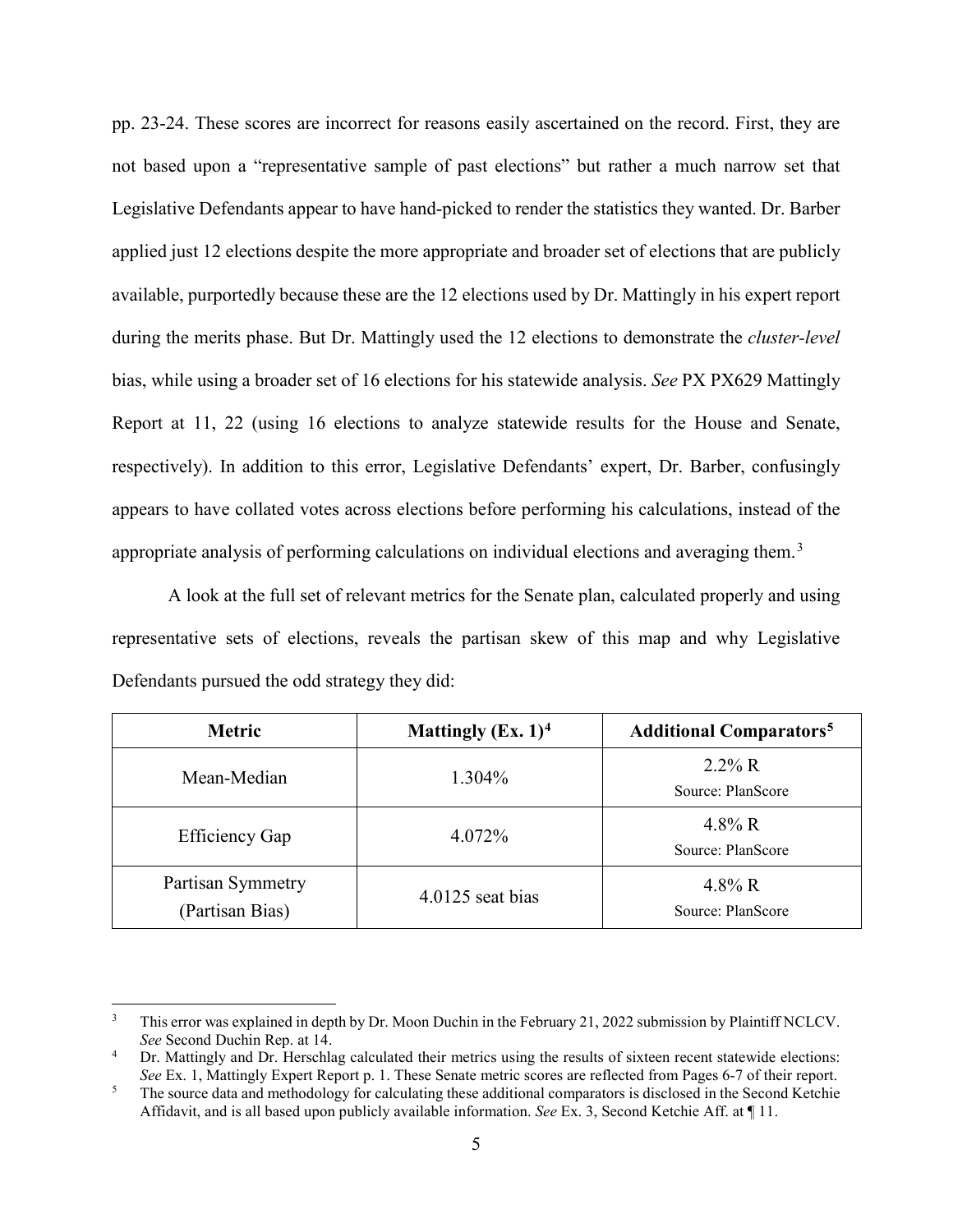pp. 23-24. These scores are incorrect for reasons easily ascertained on the record. First, they are not based upon a "representative sample of past elections" but rather a much narrow set that Legislative Defendants appear to have hand-picked to render the statistics they wanted. Dr. Barber applied just 12 elections despite the more appropriate and broader set of elections that are publicly available, purportedly because these are the 12 elections used by Dr. Mattingly in his expert report during the merits phase. But Dr. Mattingly used the 12 elections to demonstrate the *cluster-level*  bias, while using a broader set of 16 elections for his statewide analysis. *See* PX PX629 Mattingly Report at 11, 22 (using 16 elections to analyze statewide results for the House and Senate, respectively). In addition to this error, Legislative Defendants' expert, Dr. Barber, confusingly appears to have collated votes across elections before performing his calculations, instead of the appropriate analysis of performing calculations on individual elections and averaging them.<sup>[3](#page-4-0)</sup>

A look at the full set of relevant metrics for the Senate plan, calculated properly and using representative sets of elections, reveals the partisan skew of this map and why Legislative Defendants pursued the odd strategy they did:

| <b>Metric</b>                        | Mattingly $(Ex. 1)^4$ | <b>Additional Comparators<sup>5</sup></b> |
|--------------------------------------|-----------------------|-------------------------------------------|
| Mean-Median                          | 1.304%                | $2.2\%$ R<br>Source: PlanScore            |
| <b>Efficiency Gap</b>                | 4.072%                | 4.8% R<br>Source: PlanScore               |
| Partisan Symmetry<br>(Partisan Bias) | $4.0125$ seat bias    | 4.8% R<br>Source: PlanScore               |

<span id="page-4-0"></span><sup>&</sup>lt;sup>3</sup> This error was explained in depth by Dr. Moon Duchin in the February 21, 2022 submission by Plaintiff NCLCV. *See* Second Duchin Rep. at 14.

<span id="page-4-1"></span>Dr. Mattingly and Dr. Herschlag calculated their metrics using the results of sixteen recent statewide elections:<br>See Ex. 1, Mattingly Expert Report p. 1. These Senate metric scores are reflected from Pages 6-7 of their re

<span id="page-4-2"></span><sup>&</sup>lt;sup>5</sup> The source data and methodology for calculating these additional comparators is disclosed in the Second Ketchie Affidavit, and is all based upon publicly available information. *See* Ex. 3, Second Ketchie Aff. at ¶ 11.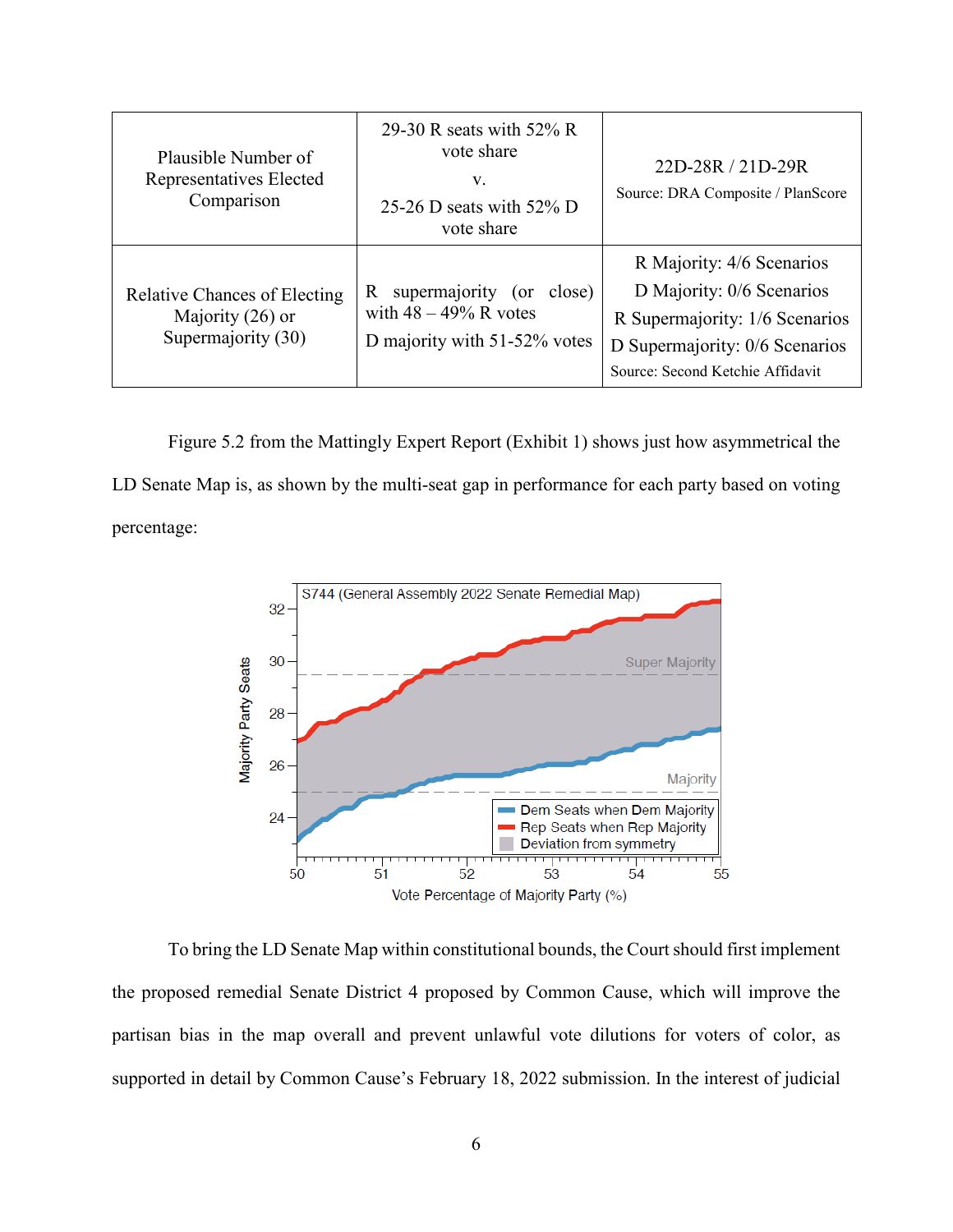| Plausible Number of<br>Representatives Elected<br>Comparison                    | 29-30 R seats with $52\%$ R<br>vote share<br>V.<br>25-26 D seats with 52% D<br>vote share        | 22D-28R / 21D-29R<br>Source: DRA Composite / PlanScore                                                                                                         |
|---------------------------------------------------------------------------------|--------------------------------------------------------------------------------------------------|----------------------------------------------------------------------------------------------------------------------------------------------------------------|
| <b>Relative Chances of Electing</b><br>Majority $(26)$ or<br>Supermajority (30) | supermajority<br>close)<br>R.<br>(or<br>with $48 - 49\%$ R votes<br>D majority with 51-52% votes | R Majority: 4/6 Scenarios<br>D Majority: 0/6 Scenarios<br>R Supermajority: 1/6 Scenarios<br>D Supermajority: 0/6 Scenarios<br>Source: Second Ketchie Affidavit |

Figure 5.2 from the Mattingly Expert Report (Exhibit 1) shows just how asymmetrical the LD Senate Map is, as shown by the multi-seat gap in performance for each party based on voting percentage:



To bring the LD Senate Map within constitutional bounds, the Court should first implement the proposed remedial Senate District 4 proposed by Common Cause, which will improve the partisan bias in the map overall and prevent unlawful vote dilutions for voters of color, as supported in detail by Common Cause's February 18, 2022 submission. In the interest of judicial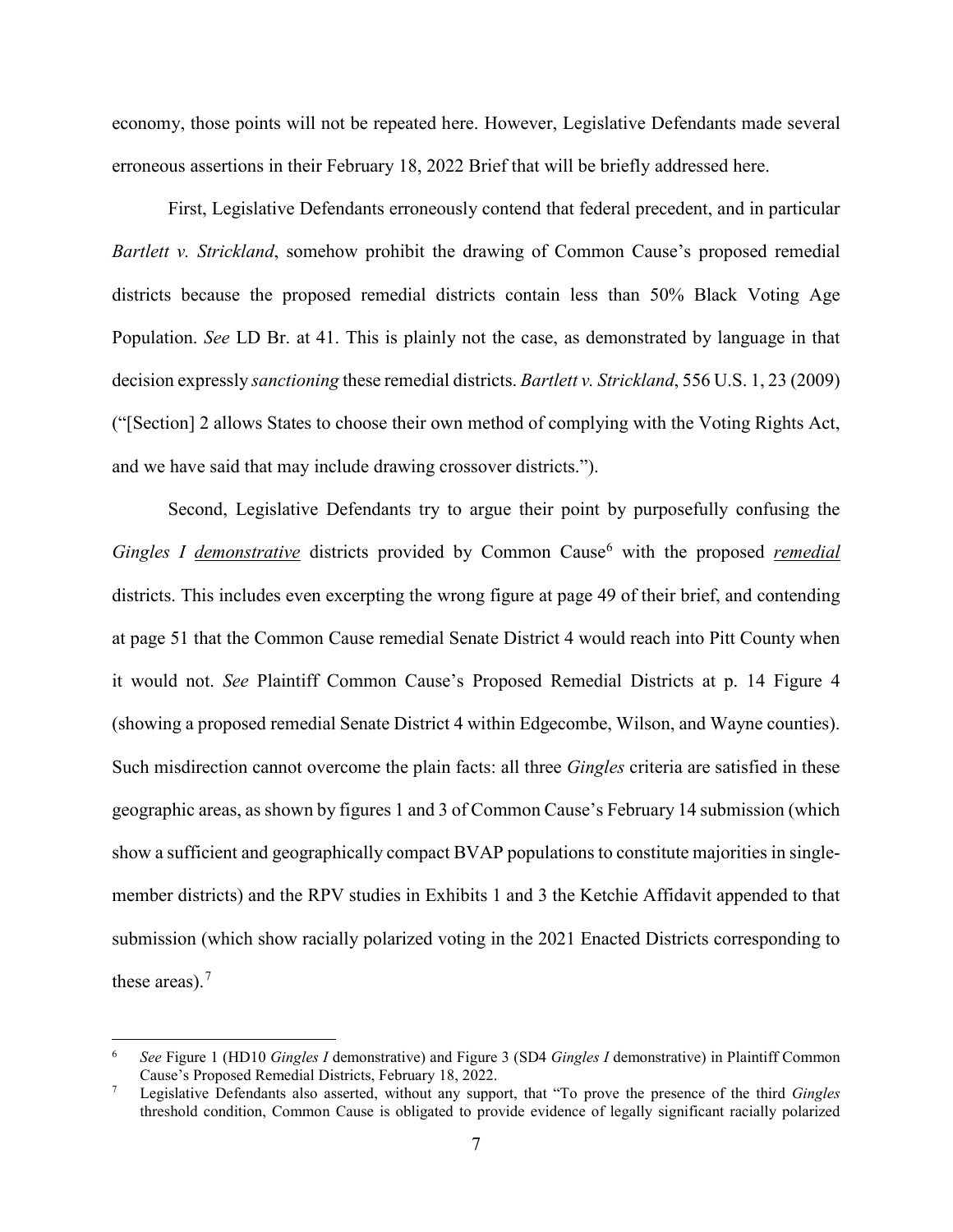economy, those points will not be repeated here. However, Legislative Defendants made several erroneous assertions in their February 18, 2022 Brief that will be briefly addressed here.

First, Legislative Defendants erroneously contend that federal precedent, and in particular *Bartlett v. Strickland*, somehow prohibit the drawing of Common Cause's proposed remedial districts because the proposed remedial districts contain less than 50% Black Voting Age Population. *See* LD Br. at 41. This is plainly not the case, as demonstrated by language in that decision expressly *sanctioning* these remedial districts. *Bartlett v. Strickland*, 556 U.S. 1, 23 (2009) ("[Section] 2 allows States to choose their own method of complying with the Voting Rights Act, and we have said that may include drawing crossover districts.").

Second, Legislative Defendants try to argue their point by purposefully confusing the *Gingles I demonstrative* districts provided by Common Cause<sup>[6](#page-6-0)</sup> with the proposed *remedial* districts. This includes even excerpting the wrong figure at page 49 of their brief, and contending at page 51 that the Common Cause remedial Senate District 4 would reach into Pitt County when it would not. *See* Plaintiff Common Cause's Proposed Remedial Districts at p. 14 Figure 4 (showing a proposed remedial Senate District 4 within Edgecombe, Wilson, and Wayne counties). Such misdirection cannot overcome the plain facts: all three *Gingles* criteria are satisfied in these geographic areas, as shown by figures 1 and 3 of Common Cause's February 14 submission (which show a sufficient and geographically compact BVAP populations to constitute majorities in singlemember districts) and the RPV studies in Exhibits 1 and 3 the Ketchie Affidavit appended to that submission (which show racially polarized voting in the 2021 Enacted Districts corresponding to these areas).<sup>[7](#page-6-1)</sup>

<span id="page-6-0"></span> <sup>6</sup> *See* Figure 1 (HD10 *Gingles I* demonstrative) and Figure 3 (SD4 *Gingles I* demonstrative) in Plaintiff Common Cause's Proposed Remedial Districts, February 18, 2022.

<span id="page-6-1"></span><sup>7</sup> Legislative Defendants also asserted, without any support, that "To prove the presence of the third *Gingles*  threshold condition, Common Cause is obligated to provide evidence of legally significant racially polarized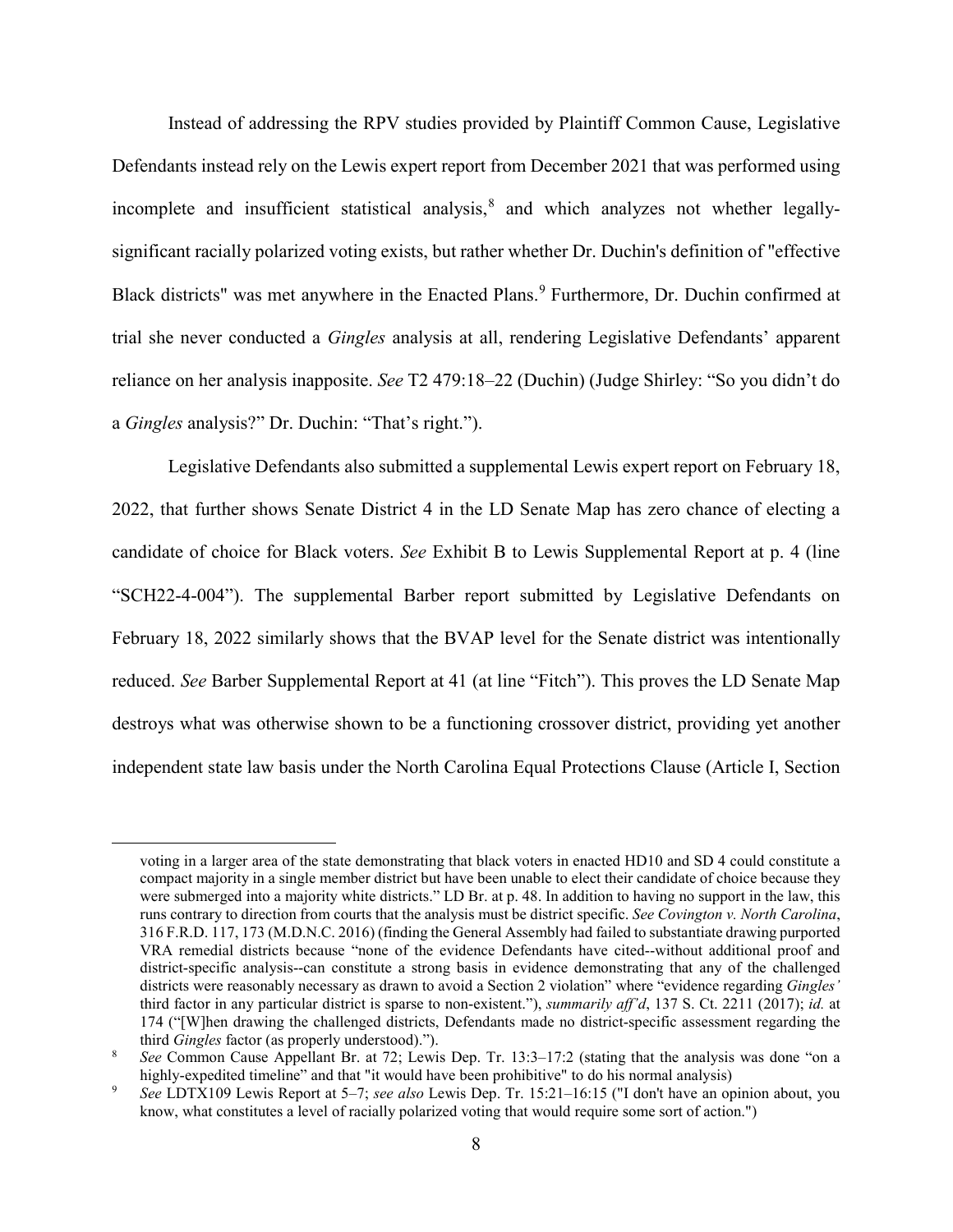Instead of addressing the RPV studies provided by Plaintiff Common Cause, Legislative Defendants instead rely on the Lewis expert report from December 2021 that was performed using incomplete and insufficient statistical analysis, $\frac{8}{3}$  $\frac{8}{3}$  $\frac{8}{3}$  and which analyzes not whether legallysignificant racially polarized voting exists, but rather whether Dr. Duchin's definition of "effective Black districts" was met anywhere in the Enacted Plans.<sup>[9](#page-7-1)</sup> Furthermore, Dr. Duchin confirmed at trial she never conducted a *Gingles* analysis at all, rendering Legislative Defendants' apparent reliance on her analysis inapposite. *See* T2 479:18–22 (Duchin) (Judge Shirley: "So you didn't do a *Gingles* analysis?" Dr. Duchin: "That's right.").

Legislative Defendants also submitted a supplemental Lewis expert report on February 18, 2022, that further shows Senate District 4 in the LD Senate Map has zero chance of electing a candidate of choice for Black voters. *See* Exhibit B to Lewis Supplemental Report at p. 4 (line "SCH22-4-004"). The supplemental Barber report submitted by Legislative Defendants on February 18, 2022 similarly shows that the BVAP level for the Senate district was intentionally reduced. *See* Barber Supplemental Report at 41 (at line "Fitch"). This proves the LD Senate Map destroys what was otherwise shown to be a functioning crossover district, providing yet another independent state law basis under the North Carolina Equal Protections Clause (Article I, Section

voting in a larger area of the state demonstrating that black voters in enacted HD10 and SD 4 could constitute a compact majority in a single member district but have been unable to elect their candidate of choice because they were submerged into a majority white districts." LD Br. at p. 48. In addition to having no support in the law, this runs contrary to direction from courts that the analysis must be district specific. *See Covington v. North Carolina*, 316 F.R.D. 117, 173 (M.D.N.C. 2016) (finding the General Assembly had failed to substantiate drawing purported VRA remedial districts because "none of the evidence Defendants have cited--without additional proof and district-specific analysis--can constitute a strong basis in evidence demonstrating that any of the challenged districts were reasonably necessary as drawn to avoid a Section 2 violation" where "evidence regarding *Gingles'* third factor in any particular district is sparse to non-existent."), *summarily aff'd*, 137 S. Ct. 2211 (2017); *id.* at 174 ("[W]hen drawing the challenged districts, Defendants made no district-specific assessment regarding the third *Gingles* factor (as properly understood).").

<span id="page-7-0"></span><sup>8</sup> *See* Common Cause Appellant Br. at 72; Lewis Dep. Tr. 13:3–17:2 (stating that the analysis was done "on a highly-expedited timeline" and that "it would have been prohibitive" to do his normal analysis)

<span id="page-7-1"></span><sup>9</sup> *See* LDTX109 Lewis Report at 5–7; *see also* Lewis Dep. Tr. 15:21–16:15 ("I don't have an opinion about, you know, what constitutes a level of racially polarized voting that would require some sort of action.")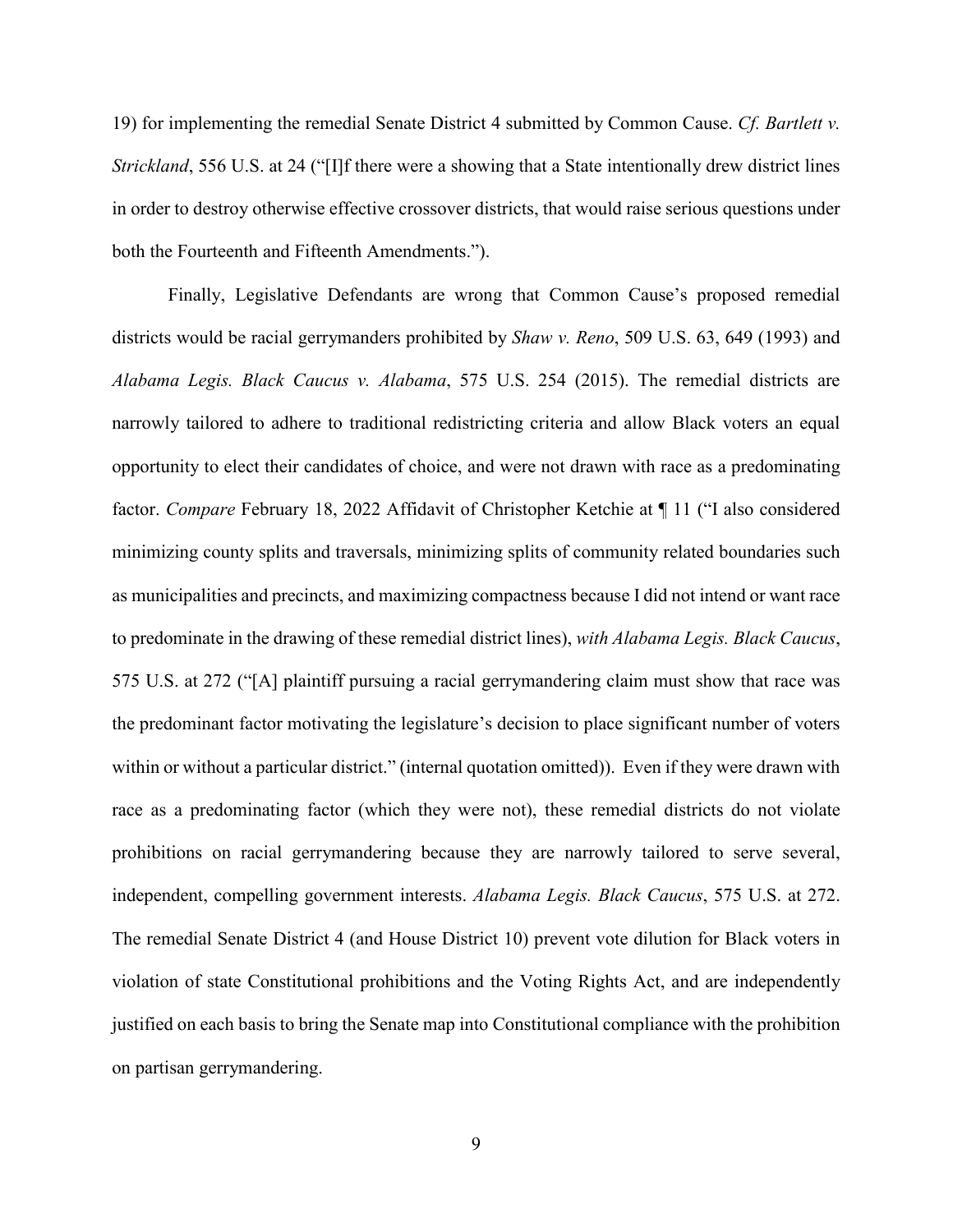19) for implementing the remedial Senate District 4 submitted by Common Cause. *Cf. Bartlett v. Strickland*, 556 U.S. at 24 ("IIf there were a showing that a State intentionally drew district lines in order to destroy otherwise effective crossover districts, that would raise serious questions under both the Fourteenth and Fifteenth Amendments.").

Finally, Legislative Defendants are wrong that Common Cause's proposed remedial districts would be racial gerrymanders prohibited by *Shaw v. Reno*, 509 U.S. 63, 649 (1993) and *Alabama Legis. Black Caucus v. Alabama*, 575 U.S. 254 (2015). The remedial districts are narrowly tailored to adhere to traditional redistricting criteria and allow Black voters an equal opportunity to elect their candidates of choice, and were not drawn with race as a predominating factor. *Compare* February 18, 2022 Affidavit of Christopher Ketchie at ¶ 11 ("I also considered minimizing county splits and traversals, minimizing splits of community related boundaries such as municipalities and precincts, and maximizing compactness because I did not intend or want race to predominate in the drawing of these remedial district lines), *with Alabama Legis. Black Caucus*, 575 U.S. at 272 ("[A] plaintiff pursuing a racial gerrymandering claim must show that race was the predominant factor motivating the legislature's decision to place significant number of voters within or without a particular district." (internal quotation omitted)). Even if they were drawn with race as a predominating factor (which they were not), these remedial districts do not violate prohibitions on racial gerrymandering because they are narrowly tailored to serve several, independent, compelling government interests. *Alabama Legis. Black Caucus*, 575 U.S. at 272. The remedial Senate District 4 (and House District 10) prevent vote dilution for Black voters in violation of state Constitutional prohibitions and the Voting Rights Act, and are independently justified on each basis to bring the Senate map into Constitutional compliance with the prohibition on partisan gerrymandering.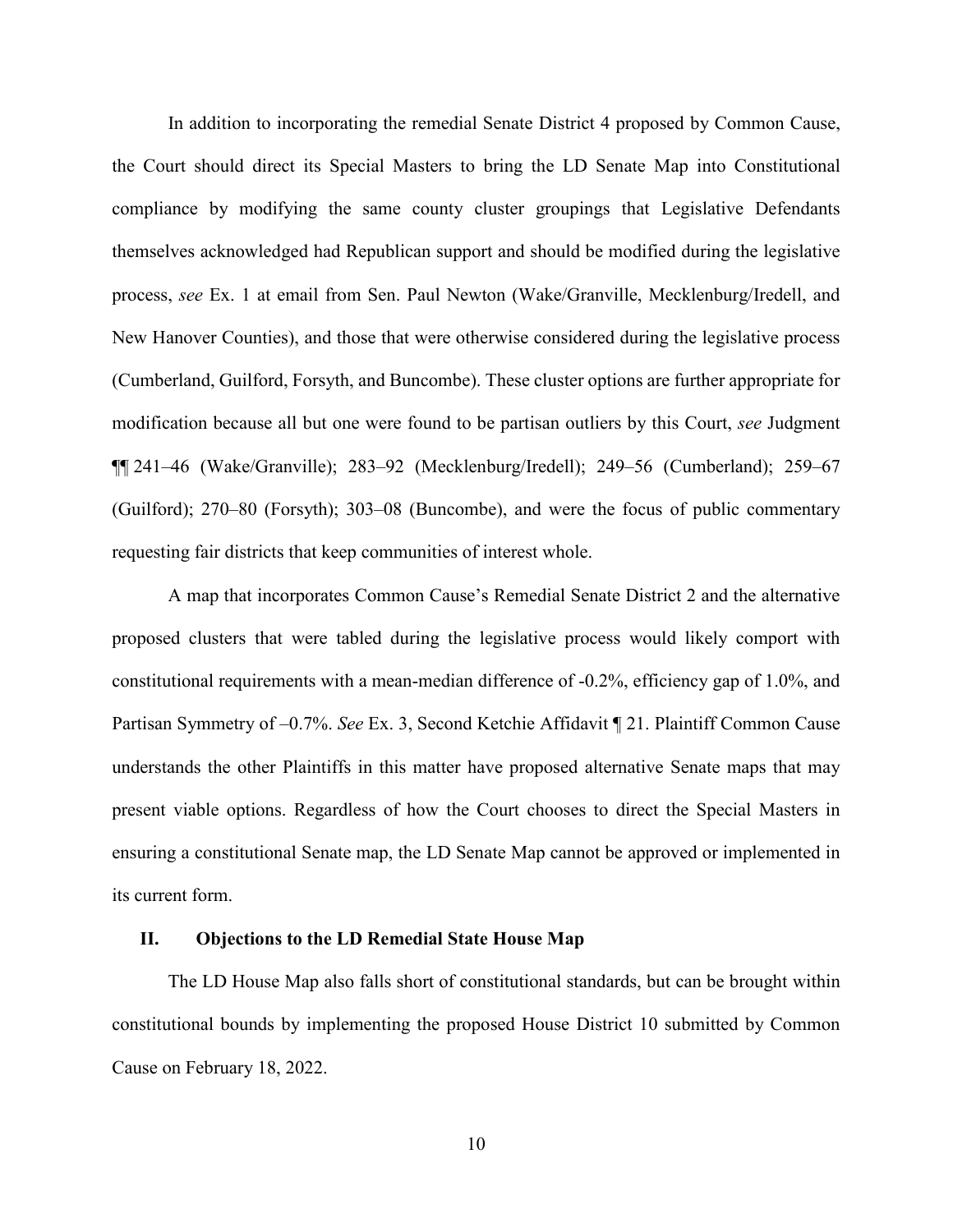In addition to incorporating the remedial Senate District 4 proposed by Common Cause, the Court should direct its Special Masters to bring the LD Senate Map into Constitutional compliance by modifying the same county cluster groupings that Legislative Defendants themselves acknowledged had Republican support and should be modified during the legislative process, *see* Ex. 1 at email from Sen. Paul Newton (Wake/Granville, Mecklenburg/Iredell, and New Hanover Counties), and those that were otherwise considered during the legislative process (Cumberland, Guilford, Forsyth, and Buncombe). These cluster options are further appropriate for modification because all but one were found to be partisan outliers by this Court, *see* Judgment ¶¶ 241–46 (Wake/Granville); 283–92 (Mecklenburg/Iredell); 249–56 (Cumberland); 259–67 (Guilford); 270–80 (Forsyth); 303–08 (Buncombe), and were the focus of public commentary requesting fair districts that keep communities of interest whole.

A map that incorporates Common Cause's Remedial Senate District 2 and the alternative proposed clusters that were tabled during the legislative process would likely comport with constitutional requirements with a mean-median difference of -0.2%, efficiency gap of 1.0%, and Partisan Symmetry of –0.7%. *See* Ex. 3, Second Ketchie Affidavit ¶ 21. Plaintiff Common Cause understands the other Plaintiffs in this matter have proposed alternative Senate maps that may present viable options. Regardless of how the Court chooses to direct the Special Masters in ensuring a constitutional Senate map, the LD Senate Map cannot be approved or implemented in its current form.

### **II. Objections to the LD Remedial State House Map**

The LD House Map also falls short of constitutional standards, but can be brought within constitutional bounds by implementing the proposed House District 10 submitted by Common Cause on February 18, 2022.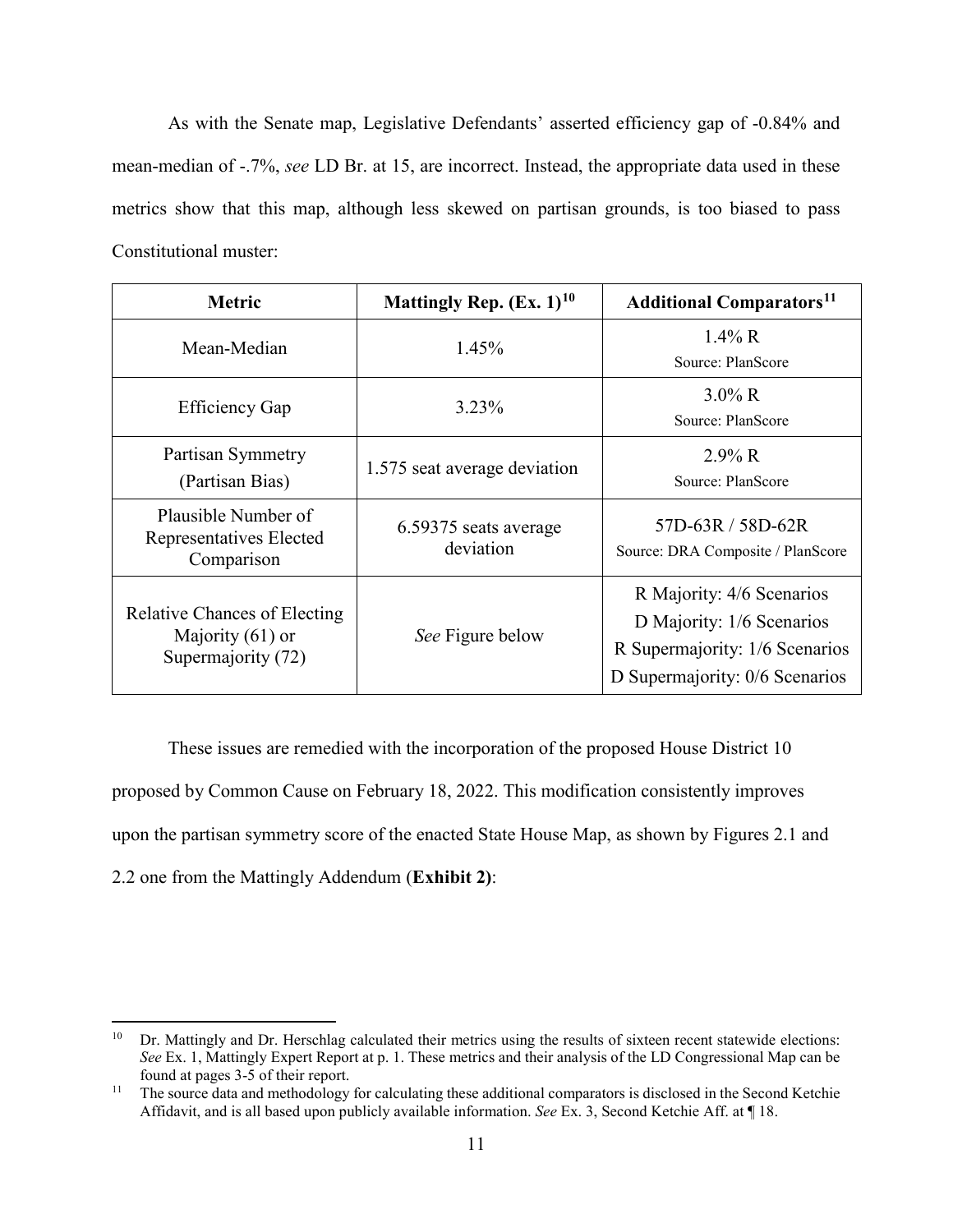As with the Senate map, Legislative Defendants' asserted efficiency gap of -0.84% and mean-median of -.7%, *see* LD Br. at 15, are incorrect. Instead, the appropriate data used in these metrics show that this map, although less skewed on partisan grounds, is too biased to pass Constitutional muster:

| <b>Metric</b>                                                                   | Mattingly Rep. $(Ex. 1)$ <sup>10</sup> | <b>Additional Comparators</b> <sup>11</sup>                                                                                |
|---------------------------------------------------------------------------------|----------------------------------------|----------------------------------------------------------------------------------------------------------------------------|
| Mean-Median                                                                     | 1.45%                                  | $1.4\%$ R<br>Source: PlanScore                                                                                             |
| <b>Efficiency Gap</b>                                                           | 3.23%                                  | $3.0\%$ R<br>Source: PlanScore                                                                                             |
| Partisan Symmetry<br>(Partisan Bias)                                            | 1.575 seat average deviation           | $2.9\%$ R<br>Source: PlanScore                                                                                             |
| Plausible Number of<br>Representatives Elected<br>Comparison                    | 6.59375 seats average<br>deviation     | 57D-63R / 58D-62R<br>Source: DRA Composite / PlanScore                                                                     |
| <b>Relative Chances of Electing</b><br>Majority $(61)$ or<br>Supermajority (72) | See Figure below                       | R Majority: 4/6 Scenarios<br>D Majority: 1/6 Scenarios<br>R Supermajority: 1/6 Scenarios<br>D Supermajority: 0/6 Scenarios |

These issues are remedied with the incorporation of the proposed House District 10 proposed by Common Cause on February 18, 2022. This modification consistently improves upon the partisan symmetry score of the enacted State House Map, as shown by Figures 2.1 and 2.2 one from the Mattingly Addendum (**Exhibit 2)**:

<span id="page-10-0"></span><sup>&</sup>lt;sup>10</sup> Dr. Mattingly and Dr. Herschlag calculated their metrics using the results of sixteen recent statewide elections: *See* Ex. 1, Mattingly Expert Report at p. 1. These metrics and their analysis of the LD Congressional Map can be found at pages 3-5 of their report.

<span id="page-10-1"></span><sup>&</sup>lt;sup>11</sup> The source data and methodology for calculating these additional comparators is disclosed in the Second Ketchie Affidavit, and is all based upon publicly available information. *See* Ex. 3, Second Ketchie Aff. at ¶ 18.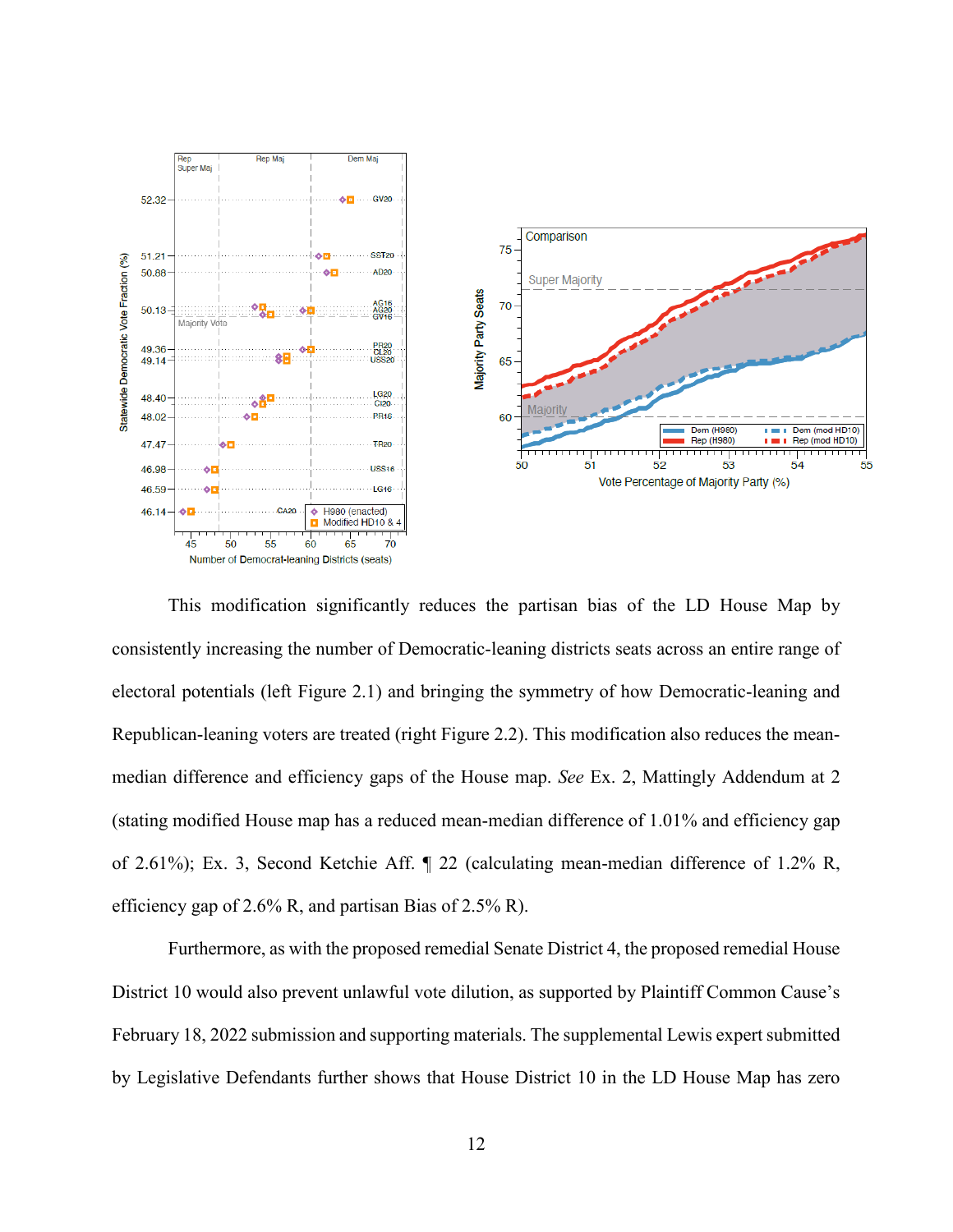

This modification significantly reduces the partisan bias of the LD House Map by consistently increasing the number of Democratic-leaning districts seats across an entire range of electoral potentials (left Figure 2.1) and bringing the symmetry of how Democratic-leaning and Republican-leaning voters are treated (right Figure 2.2). This modification also reduces the meanmedian difference and efficiency gaps of the House map. *See* Ex. 2, Mattingly Addendum at 2 (stating modified House map has a reduced mean-median difference of 1.01% and efficiency gap of 2.61%); Ex. 3, Second Ketchie Aff. ¶ 22 (calculating mean-median difference of 1.2% R, efficiency gap of 2.6% R, and partisan Bias of 2.5% R).

Furthermore, as with the proposed remedial Senate District 4, the proposed remedial House District 10 would also prevent unlawful vote dilution, as supported by Plaintiff Common Cause's February 18, 2022 submission and supporting materials. The supplemental Lewis expert submitted by Legislative Defendants further shows that House District 10 in the LD House Map has zero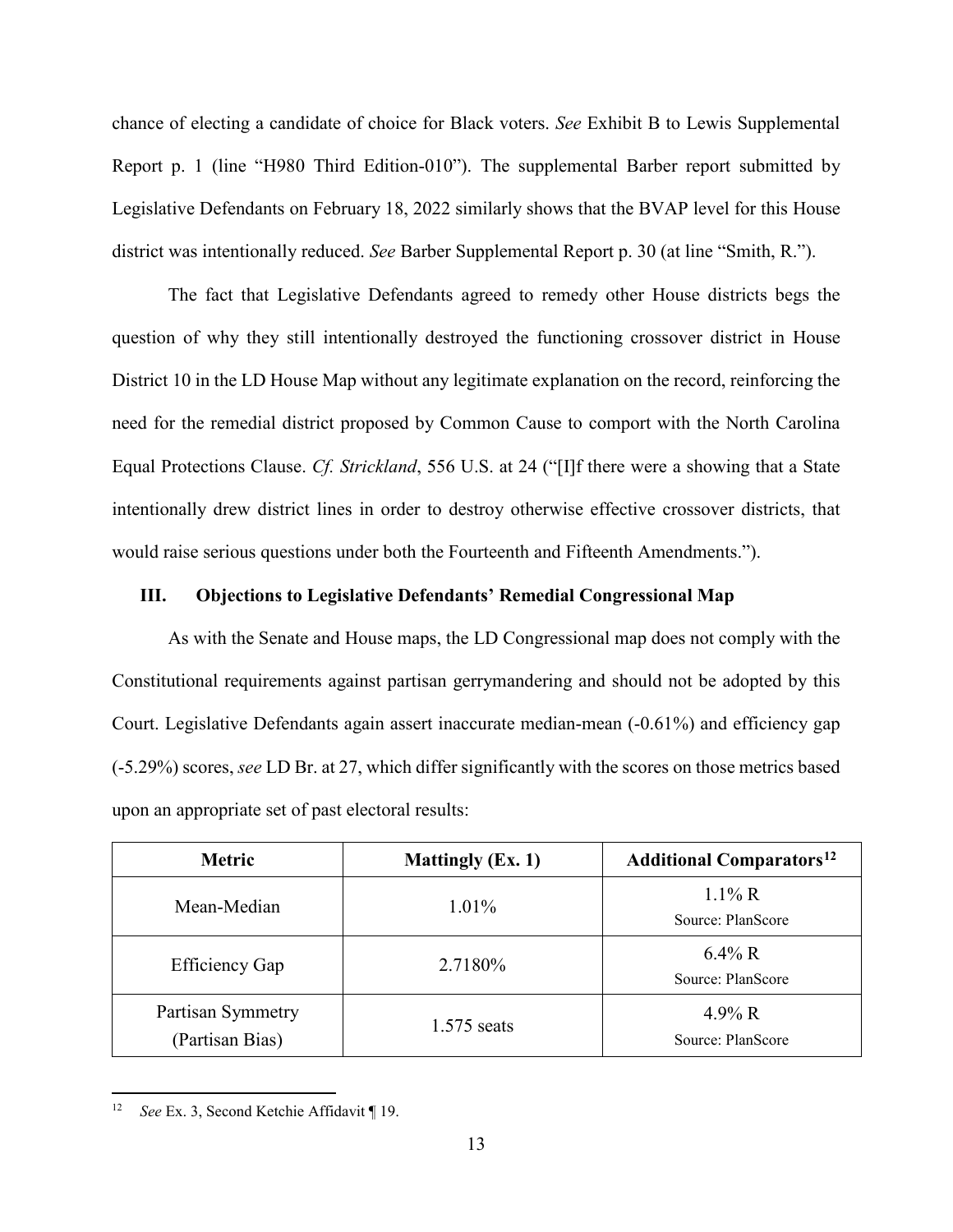chance of electing a candidate of choice for Black voters. *See* Exhibit B to Lewis Supplemental Report p. 1 (line "H980 Third Edition-010"). The supplemental Barber report submitted by Legislative Defendants on February 18, 2022 similarly shows that the BVAP level for this House district was intentionally reduced. *See* Barber Supplemental Report p. 30 (at line "Smith, R.").

The fact that Legislative Defendants agreed to remedy other House districts begs the question of why they still intentionally destroyed the functioning crossover district in House District 10 in the LD House Map without any legitimate explanation on the record, reinforcing the need for the remedial district proposed by Common Cause to comport with the North Carolina Equal Protections Clause. *Cf. Strickland*, 556 U.S. at 24 ("[I]f there were a showing that a State intentionally drew district lines in order to destroy otherwise effective crossover districts, that would raise serious questions under both the Fourteenth and Fifteenth Amendments.").

### **III. Objections to Legislative Defendants' Remedial Congressional Map**

As with the Senate and House maps, the LD Congressional map does not comply with the Constitutional requirements against partisan gerrymandering and should not be adopted by this Court. Legislative Defendants again assert inaccurate median-mean (-0.61%) and efficiency gap (-5.29%) scores, *see* LD Br. at 27, which differ significantly with the scores on those metrics based upon an appropriate set of past electoral results:

| <b>Metric</b>                        | <b>Mattingly (Ex. 1)</b> | <b>Additional Comparators</b> <sup>12</sup> |
|--------------------------------------|--------------------------|---------------------------------------------|
| Mean-Median                          | $1.01\%$                 | $1.1\%$ R<br>Source: PlanScore              |
| <b>Efficiency Gap</b>                | 2.7180%                  | $6.4\%$ R<br>Source: PlanScore              |
| Partisan Symmetry<br>(Partisan Bias) | $1.575$ seats            | 4.9% R<br>Source: PlanScore                 |

<span id="page-12-0"></span> <sup>12</sup> *See* Ex. 3, Second Ketchie Affidavit ¶ 19.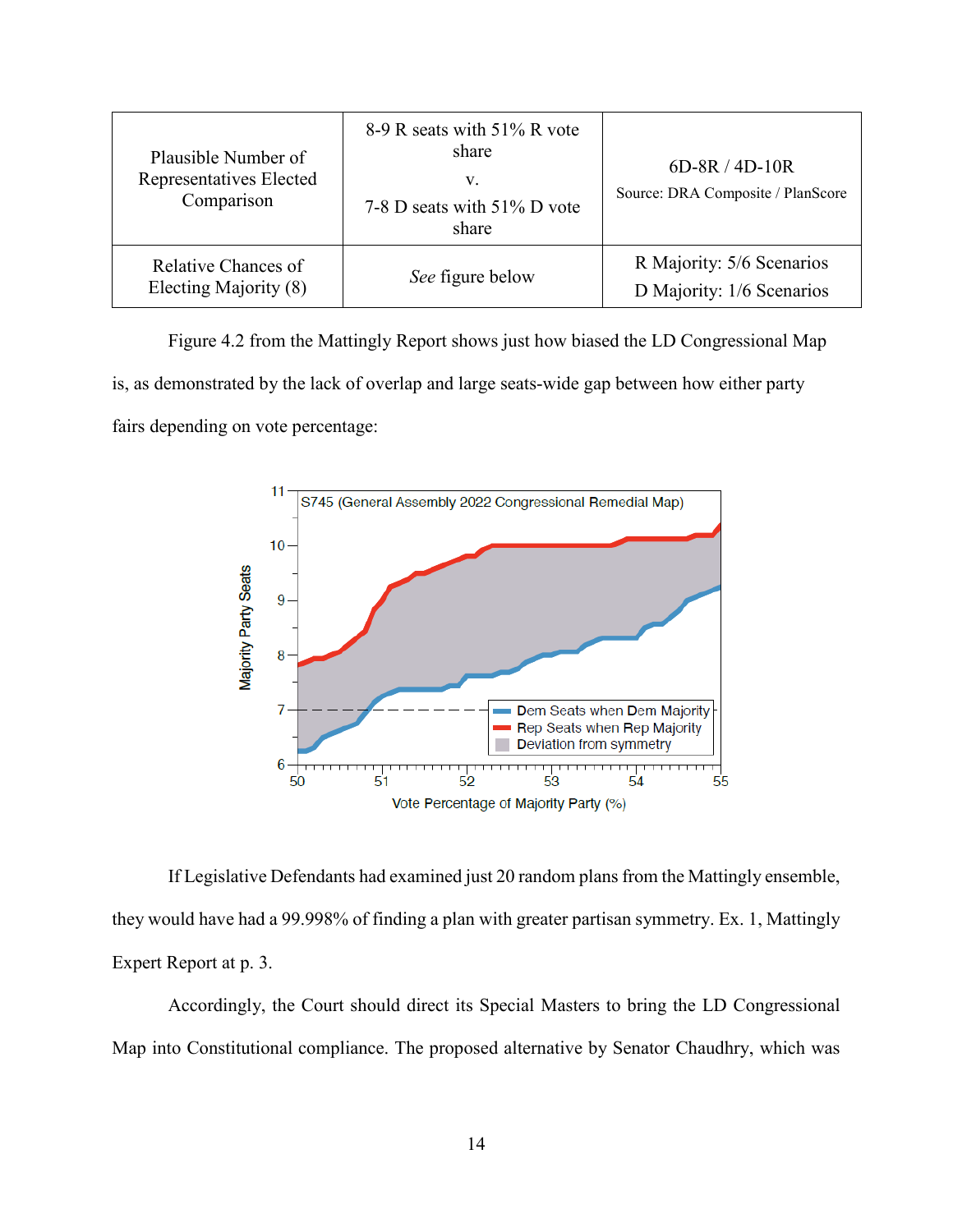| Plausible Number of<br>Representatives Elected<br>Comparison | 8-9 R seats with 51% R vote<br>share<br>v.<br>7-8 D seats with 51% D vote<br>share | $6D-8R/4D-10R$<br>Source: DRA Composite / PlanScore    |
|--------------------------------------------------------------|------------------------------------------------------------------------------------|--------------------------------------------------------|
| Relative Chances of<br>Electing Majority (8)                 | See figure below                                                                   | R Majority: 5/6 Scenarios<br>D Majority: 1/6 Scenarios |

Figure 4.2 from the Mattingly Report shows just how biased the LD Congressional Map is, as demonstrated by the lack of overlap and large seats-wide gap between how either party fairs depending on vote percentage:



If Legislative Defendants had examined just 20 random plans from the Mattingly ensemble, they would have had a 99.998% of finding a plan with greater partisan symmetry. Ex. 1, Mattingly Expert Report at p. 3.

Accordingly, the Court should direct its Special Masters to bring the LD Congressional Map into Constitutional compliance. The proposed alternative by Senator Chaudhry, which was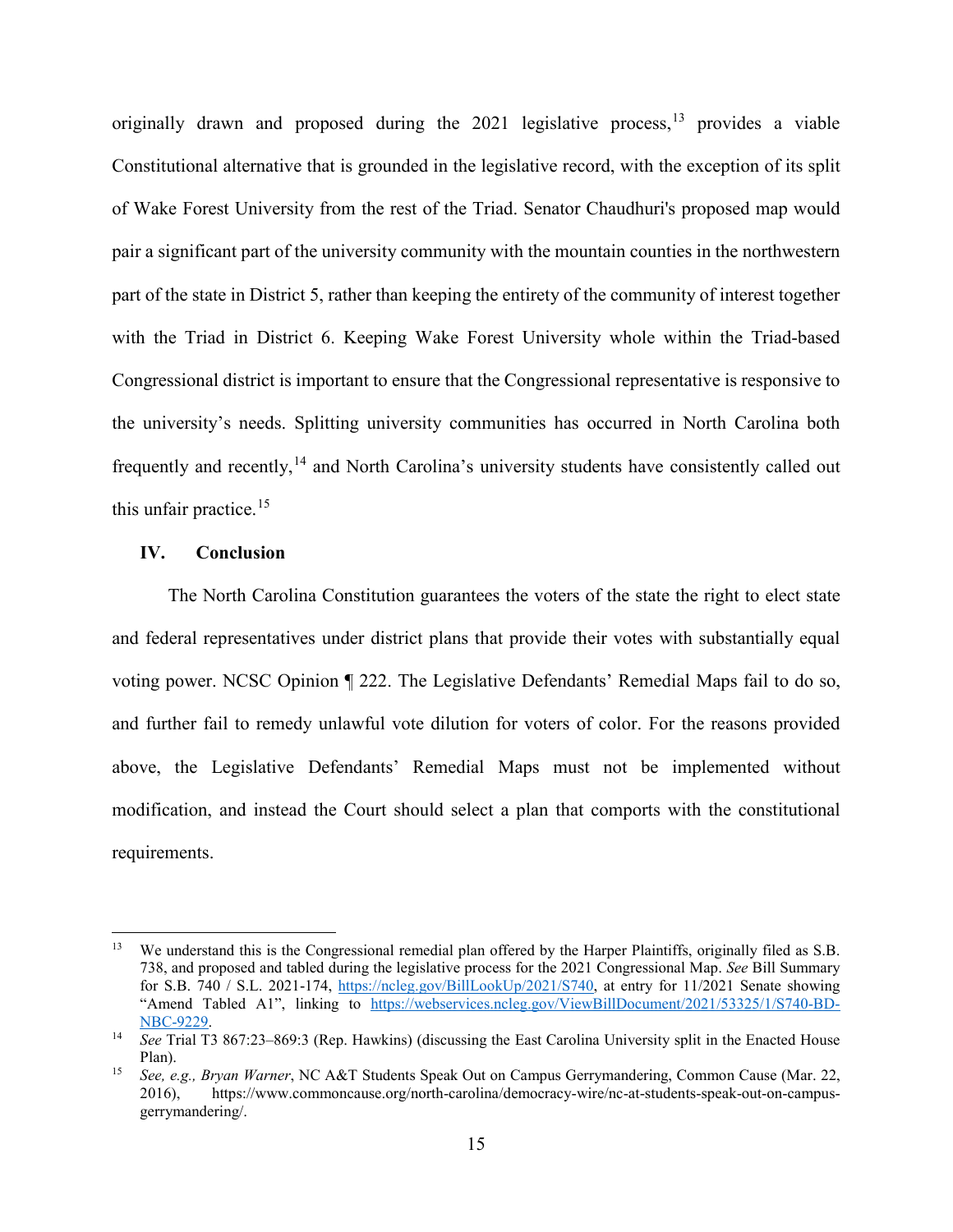originally drawn and proposed during the 2021 legislative process, [13](#page-14-0) provides a viable Constitutional alternative that is grounded in the legislative record, with the exception of its split of Wake Forest University from the rest of the Triad. Senator Chaudhuri's proposed map would pair a significant part of the university community with the mountain counties in the northwestern part of the state in District 5, rather than keeping the entirety of the community of interest together with the Triad in District 6. Keeping Wake Forest University whole within the Triad-based Congressional district is important to ensure that the Congressional representative is responsive to the university's needs. Splitting university communities has occurred in North Carolina both frequently and recently,[14](#page-14-1) and North Carolina's university students have consistently called out this unfair practice.<sup>[15](#page-14-2)</sup>

#### **IV. Conclusion**

The North Carolina Constitution guarantees the voters of the state the right to elect state and federal representatives under district plans that provide their votes with substantially equal voting power. NCSC Opinion ¶ 222. The Legislative Defendants' Remedial Maps fail to do so, and further fail to remedy unlawful vote dilution for voters of color. For the reasons provided above, the Legislative Defendants' Remedial Maps must not be implemented without modification, and instead the Court should select a plan that comports with the constitutional requirements.

<span id="page-14-0"></span><sup>&</sup>lt;sup>13</sup> We understand this is the Congressional remedial plan offered by the Harper Plaintiffs, originally filed as S.B. 738, and proposed and tabled during the legislative process for the 2021 Congressional Map. *See* Bill Summary for S.B. 740 / S.L. 2021-174, [https://ncleg.gov/BillLookUp/2021/S740,](https://ncleg.gov/BillLookUp/2021/S740) at entry for 11/2021 Senate showing "Amend Tabled A1", linking to [https://webservices.ncleg.gov/ViewBillDocument/2021/53325/1/S740-BD-](https://webservices.ncleg.gov/ViewBillDocument/2021/53325/1/S740-BD-NBC-9229)[NBC-9229.](https://webservices.ncleg.gov/ViewBillDocument/2021/53325/1/S740-BD-NBC-9229) 14 *See* Trial T3 867:23–869:3 (Rep. Hawkins) (discussing the East Carolina University split in the Enacted House

<span id="page-14-1"></span>Plan).

<span id="page-14-2"></span><sup>15</sup> *See, e.g., Bryan Warner*, NC A&T Students Speak Out on Campus Gerrymandering, Common Cause (Mar. 22, 2016), https://www.commoncause.org/north-carolina/democracy-wire/nc-at-students-speak-out-on-campusgerrymandering/.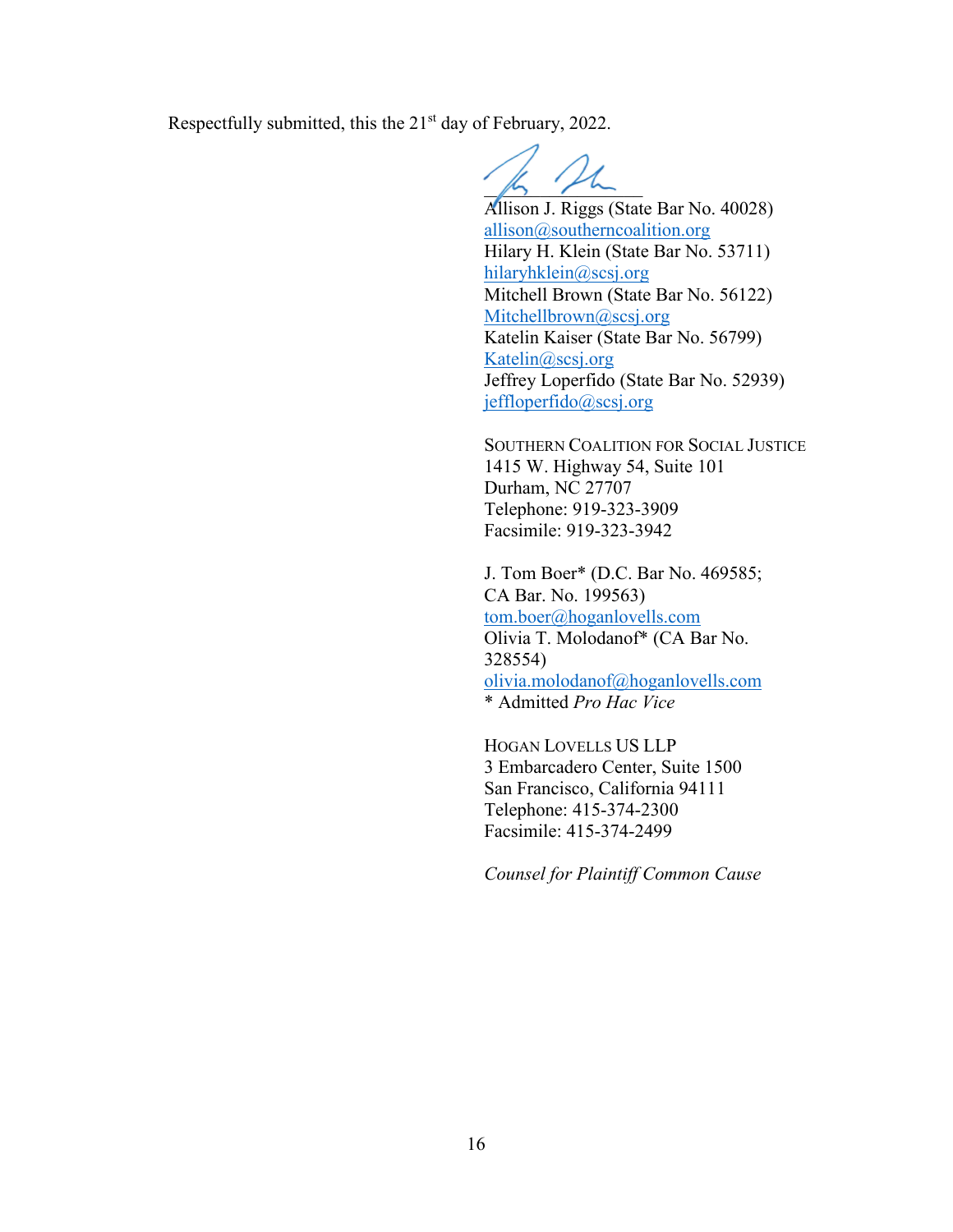Respectfully submitted, this the 21<sup>st</sup> day of February, 2022.

 $\mu$ 

Allison J. Riggs (State Bar No. 40028) [allison@southerncoalition.org](mailto:allison@southerncoalition.org) Hilary H. Klein (State Bar No. 53711) [hilaryhklein@scsj.org](mailto:hilaryhklein@scsj.org) Mitchell Brown (State Bar No. 56122) [Mitchellbrown@scsj.org](mailto:Mitchellbrown@scsj.org) Katelin Kaiser (State Bar No. 56799) [Katelin@scsj.org](mailto:Katelin@scsj.org) Jeffrey Loperfido (State Bar No. 52939) jeffloperfido@scsj.org

SOUTHERN COALITION FOR SOCIAL JUSTICE 1415 W. Highway 54, Suite 101 Durham, NC 27707 Telephone: 919-323-3909 Facsimile: 919-323-3942

J. Tom Boer\* (D.C. Bar No. 469585; CA Bar. No. 199563) [tom.boer@hoganlovells.com](mailto:tom.boer@hoganlovells.com) Olivia T. Molodanof\* (CA Bar No. 328554) [olivia.molodanof@hoganlovells.com](mailto:olivia.molodanof@hoganlovells.com) \* Admitted *Pro Hac Vice* 

HOGAN LOVELLS US LLP 3 Embarcadero Center, Suite 1500 San Francisco, California 94111 Telephone: 415-374-2300 Facsimile: 415-374-2499

*Counsel for Plaintiff Common Cause*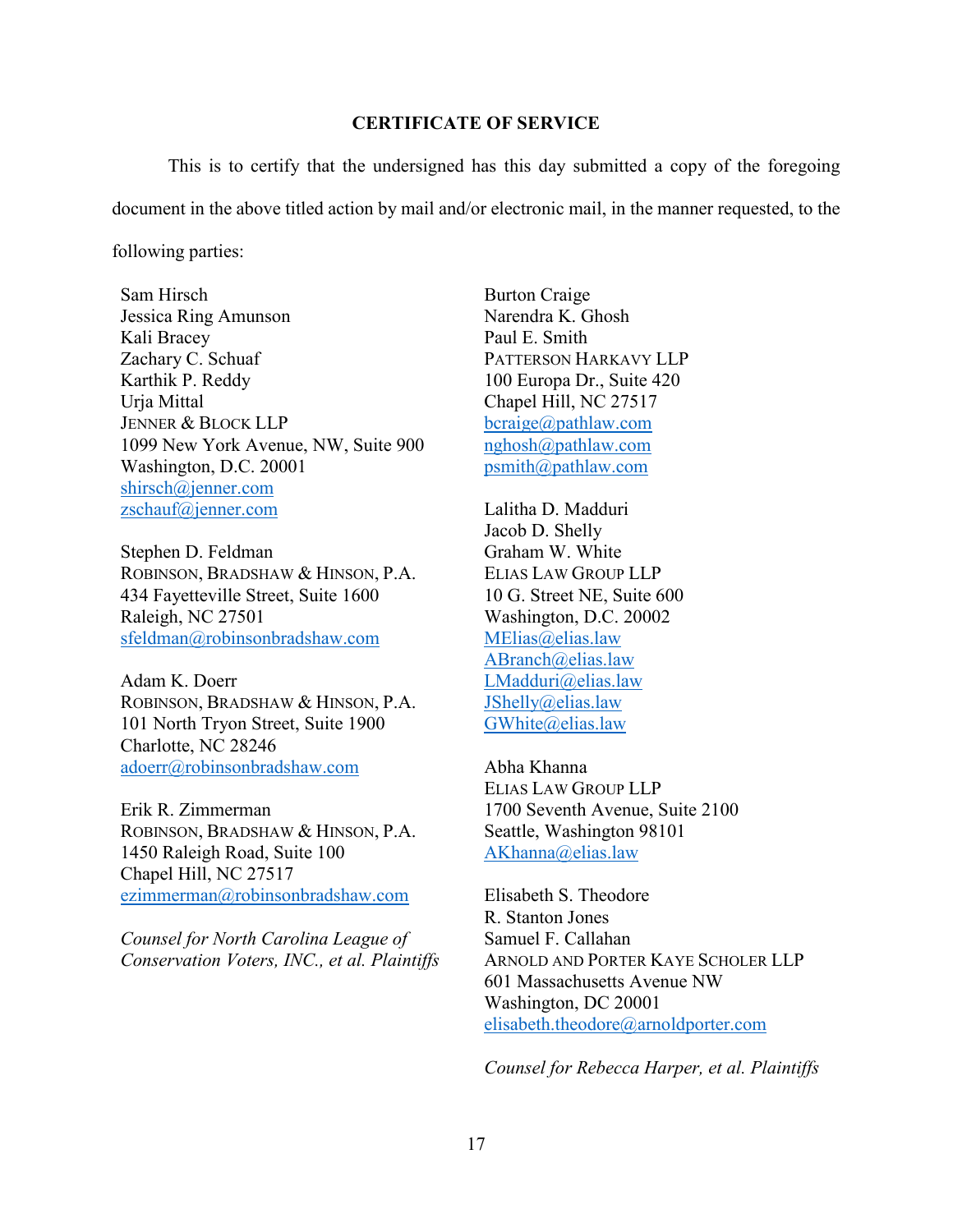#### **CERTIFICATE OF SERVICE**

This is to certify that the undersigned has this day submitted a copy of the foregoing document in the above titled action by mail and/or electronic mail, in the manner requested, to the following parties:

Sam Hirsch Jessica Ring Amunson Kali Bracey Zachary C. Schuaf Karthik P. Reddy Urja Mittal JENNER & BLOCK LLP 1099 New York Avenue, NW, Suite 900 Washington, D.C. 20001 [shirsch@jenner.com](mailto:shirsch@jenner.com) [zschauf@jenner.com](mailto:zschauf@jenner.com)

Stephen D. Feldman ROBINSON, BRADSHAW & HINSON, P.A. 434 Fayetteville Street, Suite 1600 Raleigh, NC 27501 [sfeldman@robinsonbradshaw.com](mailto:sfeldman@robinsonbradshaw.com)

Adam K. Doerr ROBINSON, BRADSHAW & HINSON, P.A. 101 North Tryon Street, Suite 1900 Charlotte, NC 28246 [adoerr@robinsonbradshaw.com](mailto:adoerr@robinsonbradshaw.com)

Erik R. Zimmerman ROBINSON, BRADSHAW & HINSON, P.A. 1450 Raleigh Road, Suite 100 Chapel Hill, NC 27517 [ezimmerman@robinsonbradshaw.com](mailto:ezimmerman@robinsonbradshaw.com)

*Counsel for North Carolina League of Conservation Voters, INC., et al. Plaintiffs* 

Burton Craige Narendra K. Ghosh Paul E. Smith PATTERSON HARKAVY LLP 100 Europa Dr., Suite 420 Chapel Hill, NC 27517 [bcraige@pathlaw.com](mailto:bcraige@pathlaw.com) [nghosh@pathlaw.com](mailto:nghosh@pathlaw.com) [psmith@pathlaw.com](mailto:psmith@pathlaw.com)

Lalitha D. Madduri Jacob D. Shelly Graham W. White ELIAS LAW GROUP LLP 10 G. Street NE, Suite 600 Washington, D.C. 20002 [MElias@elias.law](mailto:MElias@elias.law) [ABranch@elias.law](mailto:ABranch@elias.law) [LMadduri@elias.law](mailto:LMadduri@elias.law) [JShelly@elias.law](mailto:JShelly@elias.law) [GWhite@elias.law](mailto:GWhite@elias.law)

Abha Khanna ELIAS LAW GROUP LLP 1700 Seventh Avenue, Suite 2100 Seattle, Washington 98101 [AKhanna@elias.law](mailto:AKhanna@elias.law)

Elisabeth S. Theodore R. Stanton Jones Samuel F. Callahan ARNOLD AND PORTER KAYE SCHOLER LLP 601 Massachusetts Avenue NW Washington, DC 20001 [elisabeth.theodore@arnoldporter.com](mailto:elisabeth.theodore@arnoldporter.com)

*Counsel for Rebecca Harper, et al. Plaintiffs*